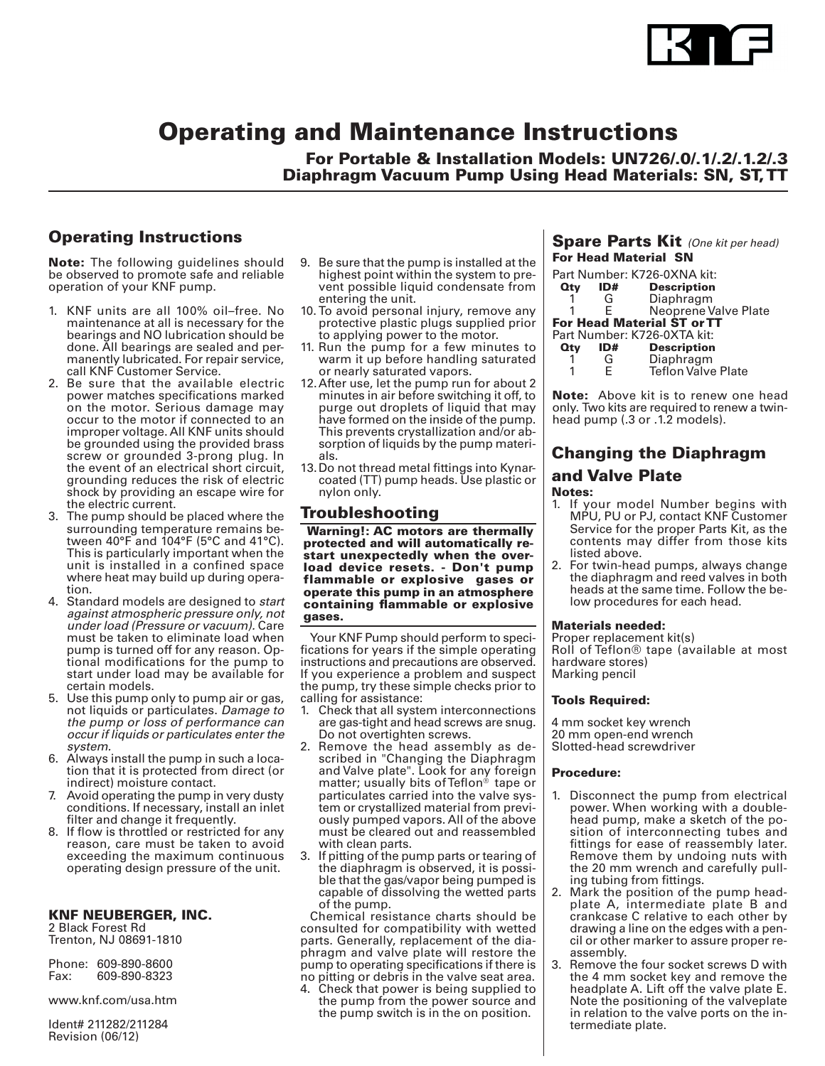

# Operating and Maintenance Instructions

For Portable & Installation Models: UN726/.0/.1/.2/.1.2/.3 Diaphragm Vacuum Pump Using Head Materials: SN, ST, TT

# Operating Instructions

**Note:** The following guidelines should be observed to promote safe and reliable operation of your KNF pump.

- 1. KNF units are all 100% oil–free. No maintenance at all is necessary for the bearings and NO lubrication should be done. All bearings are sealed and permanently lubricated. For repair service, call KNF Customer Service.
- 2. Be sure that the available electric power matches specifications marked on the motor. Serious damage may occur to the motor if connected to an improper voltage. All KNF units should be grounded using the provided brass screw or grounded 3-prong plug. In the event of an electrical short circuit, grounding reduces the risk of electric shock by providing an escape wire for the electric current.
- 3. The pump should be placed where the surrounding temperature remains between 40°F and 104°F (5°C and 41°C). This is particularly important when the unit is installed in a confined space where heat may build up during operation.
- 4. Standard models are designed to *start against atmospheric pressure only, not under load (Pressure or vacuum).* Care must be taken to eliminate load when pump is turned off for any reason. Optional modifications for the pump to start under load may be available for certain models.
- 5. Use this pump only to pump air or gas, not liquids or particulates. *Damage to the pump or loss of performance can occur if liquids or particulates enter the system.*
- 6. Always install the pump in such a location that it is protected from direct (or indirect) moisture contact.
- 7. Avoid operating the pump in very dusty conditions. If necessary, install an inlet filter and change it frequently.
- 8. If flow is throttled or restricted for any reason, care must be taken to avoid exceeding the maximum continuous operating design pressure of the unit.

#### KNF NEUBERGER, INC.

2 Black Forest Rd Trenton, NJ 08691-1810

|      | Phone: 609-890-8600 |
|------|---------------------|
| Fax: | 609-890-8323        |

www.knf.com/usa.htm

Ident# 211282/211284 Revision (06/12)

- 9. Be sure that the pump is installed at the highest point within the system to prevent possible liquid condensate from entering the unit.
- 10. To avoid personal injury, remove any protective plastic plugs supplied prior to applying power to the motor.
- 11. Run the pump for a few minutes to warm it up before handling saturated or nearly saturated vapors.
- 12. After use, let the pump run for about 2 minutes in air before switching it off, to purge out droplets of liquid that may have formed on the inside of the pump. This prevents crystallization and/or absorption of liquids by the pump materials.
- 13.Do not thread metal fittings into Kynarcoated (TT) pump heads. Use plastic or nylon only.

### Troubleshooting

 Warning!: AC motors are thermally protected and will automatically restart unexpectedly when the overload device resets. - Don't pump flammable or explosive gases or operate this pump in an atmosphere containing flammable or explosive gases.

Your KNF Pump should perform to specifications for years if the simple operating instructions and precautions are observed. If you experience a problem and suspect the pump, try these simple checks prior to calling for assistance:

- 1. Check that all system interconnections are gas-tight and head screws are snug. Do not overtighten screws.
- 2. Remove the head assembly as described in "Changing the Diaphragm and Valve plate". Look for any foreign matter; usually bits of Teflon<sup>®</sup> tape or particulates carried into the valve system or crystallized material from previously pumped vapors. All of the above must be cleared out and reassembled with clean parts.
- 3. If pitting of the pump parts or tearing of the diaphragm is observed, it is possible that the gas/vapor being pumped is capable of dissolving the wetted parts of the pump.

Chemical resistance charts should be consulted for compatibility with wetted parts. Generally, replacement of the diaphragm and valve plate will restore the pump to operating specifications if there is no pitting or debris in the valve seat area.

4. Check that power is being supplied to the pump from the power source and the pump switch is in the on position.

#### Spare Parts Kit *(One kit per head)* For Head Material SN

Part Number: K726-0XNA kit:<br>**Qty ID# Description D# Description**<br>G Diaphragm 1 G Diaphragm<br>1 E Neoprene V 1 E Neoprene Valve Plate For Head Material ST or TT Part Number: K726-0XTA kit:

| Qty | ID# | uitivuilloui. In 2007 III NN.<br><b>Description</b> |
|-----|-----|-----------------------------------------------------|
|     | G   | Diaphragm                                           |
| 1   | F   | <b>Teflon Valve Plate</b>                           |

**Note:** Above kit is to renew one head only. Two kits are required to renew a twinhead pump (.3 or .1.2 models).

### Changing the Diaphragm

# and Valve Plate

Notes:

- 1. If your model Number begins with MPU, PU or PJ, contact KNF Customer Service for the proper Parts Kit, as the contents may differ from those kits listed above.
- 2. For twin-head pumps, always change the diaphragm and reed valves in both heads at the same time. Follow the below procedures for each head.

#### Materials needed:

Proper replacement kit(s) Roll of Teflon® tape (available at most hardware stores) Marking pencil

#### Tools Required:

4 mm socket key wrench 20 mm open-end wrench Slotted-head screwdriver

#### Procedure:

- Disconnect the pump from electrical power. When working with a doublehead pump, make a sketch of the position of interconnecting tubes and fittings for ease of reassembly later. Remove them by undoing nuts with the 20 mm wrench and carefully pulling tubing from fittings.
- 2. Mark the position of the pump headplate A, intermediate plate B and crankcase C relative to each other by drawing a line on the edges with a pencil or other marker to assure proper reassembly.
- 3. Remove the four socket screws D with the 4 mm socket key and remove the headplate A. Lift off the valve plate E. Note the positioning of the valveplate in relation to the valve ports on the intermediate plate.